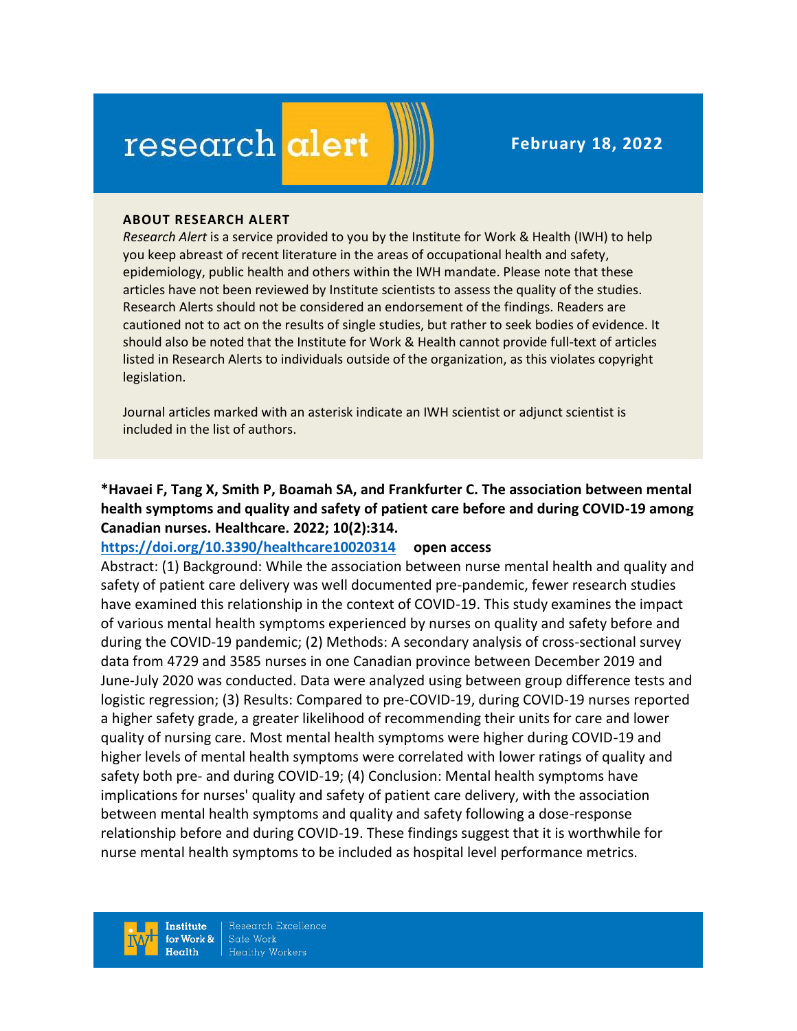# research alert

#### **ABOUT RESEARCH ALERT**

*Research Alert* is a service provided to you by the Institute for Work & Health (IWH) to help you keep abreast of recent literature in the areas of occupational health and safety, epidemiology, public health and others within the IWH mandate. Please note that these articles have not been reviewed by Institute scientists to assess the quality of the studies. Research Alerts should not be considered an endorsement of the findings. Readers are cautioned not to act on the results of single studies, but rather to seek bodies of evidence. It should also be noted that the Institute for Work & Health cannot provide full-text of articles listed in Research Alerts to individuals outside of the organization, as this violates copyright legislation.

Journal articles marked with an asterisk indicate an IWH scientist or adjunct scientist is included in the list of authors.

**\*Havaei F, Tang X, Smith P, Boamah SA, and Frankfurter C. The association between mental health symptoms and quality and safety of patient care before and during COVID-19 among Canadian nurses. Healthcare. 2022; 10(2):314.**

#### **<https://doi.org/10.3390/healthcare10020314>open access**

Abstract: (1) Background: While the association between nurse mental health and quality and safety of patient care delivery was well documented pre-pandemic, fewer research studies have examined this relationship in the context of COVID-19. This study examines the impact of various mental health symptoms experienced by nurses on quality and safety before and during the COVID-19 pandemic; (2) Methods: A secondary analysis of cross-sectional survey data from 4729 and 3585 nurses in one Canadian province between December 2019 and June-July 2020 was conducted. Data were analyzed using between group difference tests and logistic regression; (3) Results: Compared to pre-COVID-19, during COVID-19 nurses reported a higher safety grade, a greater likelihood of recommending their units for care and lower quality of nursing care. Most mental health symptoms were higher during COVID-19 and higher levels of mental health symptoms were correlated with lower ratings of quality and safety both pre- and during COVID-19; (4) Conclusion: Mental health symptoms have implications for nurses' quality and safety of patient care delivery, with the association between mental health symptoms and quality and safety following a dose-response relationship before and during COVID-19. These findings suggest that it is worthwhile for nurse mental health symptoms to be included as hospital level performance metrics.

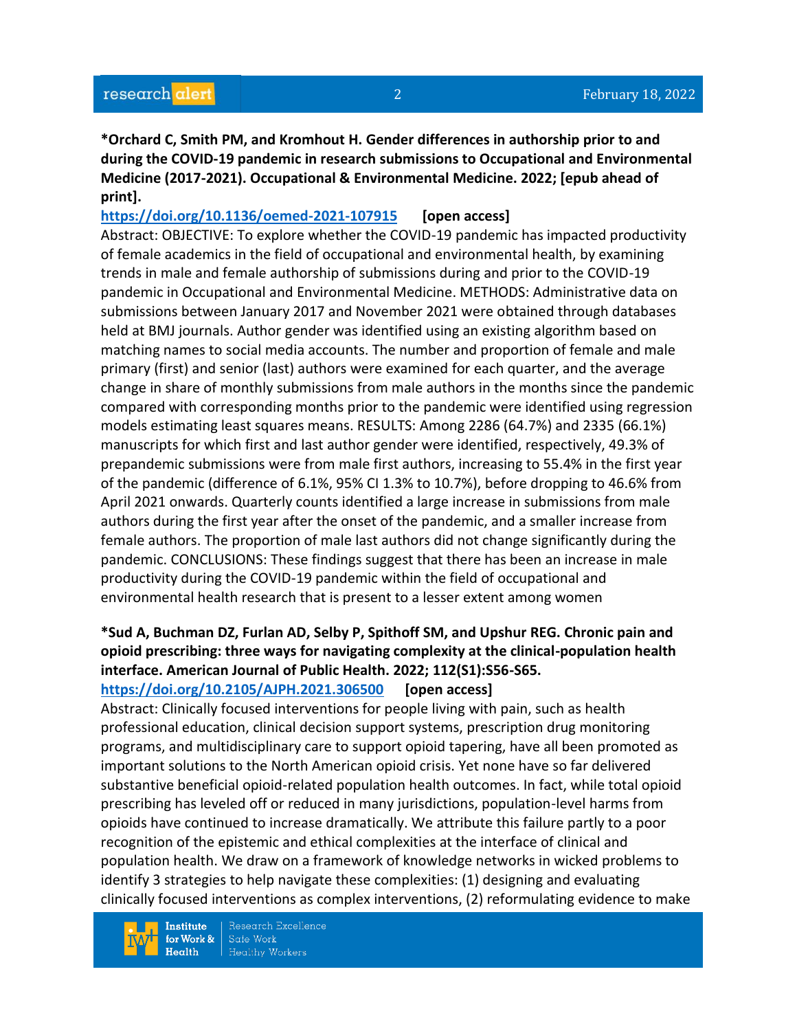**\*Orchard C, Smith PM, and Kromhout H. Gender differences in authorship prior to and during the COVID-19 pandemic in research submissions to Occupational and Environmental Medicine (2017-2021). Occupational & Environmental Medicine. 2022; [epub ahead of print].**

**<https://doi.org/10.1136/oemed-2021-107915>[open access]** Abstract: OBJECTIVE: To explore whether the COVID-19 pandemic has impacted productivity of female academics in the field of occupational and environmental health, by examining trends in male and female authorship of submissions during and prior to the COVID-19 pandemic in Occupational and Environmental Medicine. METHODS: Administrative data on submissions between January 2017 and November 2021 were obtained through databases held at BMJ journals. Author gender was identified using an existing algorithm based on matching names to social media accounts. The number and proportion of female and male primary (first) and senior (last) authors were examined for each quarter, and the average change in share of monthly submissions from male authors in the months since the pandemic compared with corresponding months prior to the pandemic were identified using regression models estimating least squares means. RESULTS: Among 2286 (64.7%) and 2335 (66.1%) manuscripts for which first and last author gender were identified, respectively, 49.3% of prepandemic submissions were from male first authors, increasing to 55.4% in the first year of the pandemic (difference of 6.1%, 95% CI 1.3% to 10.7%), before dropping to 46.6% from April 2021 onwards. Quarterly counts identified a large increase in submissions from male authors during the first year after the onset of the pandemic, and a smaller increase from female authors. The proportion of male last authors did not change significantly during the pandemic. CONCLUSIONS: These findings suggest that there has been an increase in male productivity during the COVID-19 pandemic within the field of occupational and environmental health research that is present to a lesser extent among women

# **\*Sud A, Buchman DZ, Furlan AD, Selby P, Spithoff SM, and Upshur REG. Chronic pain and opioid prescribing: three ways for navigating complexity at the clinical-population health interface. American Journal of Public Health. 2022; 112(S1):S56-S65.**

**<https://doi.org/10.2105/AJPH.2021.306500> [open access]** Abstract: Clinically focused interventions for people living with pain, such as health

professional education, clinical decision support systems, prescription drug monitoring programs, and multidisciplinary care to support opioid tapering, have all been promoted as important solutions to the North American opioid crisis. Yet none have so far delivered substantive beneficial opioid-related population health outcomes. In fact, while total opioid prescribing has leveled off or reduced in many jurisdictions, population-level harms from opioids have continued to increase dramatically. We attribute this failure partly to a poor recognition of the epistemic and ethical complexities at the interface of clinical and population health. We draw on a framework of knowledge networks in wicked problems to identify 3 strategies to help navigate these complexities: (1) designing and evaluating clinically focused interventions as complex interventions, (2) reformulating evidence to make

**Institute** for Work &  $Health$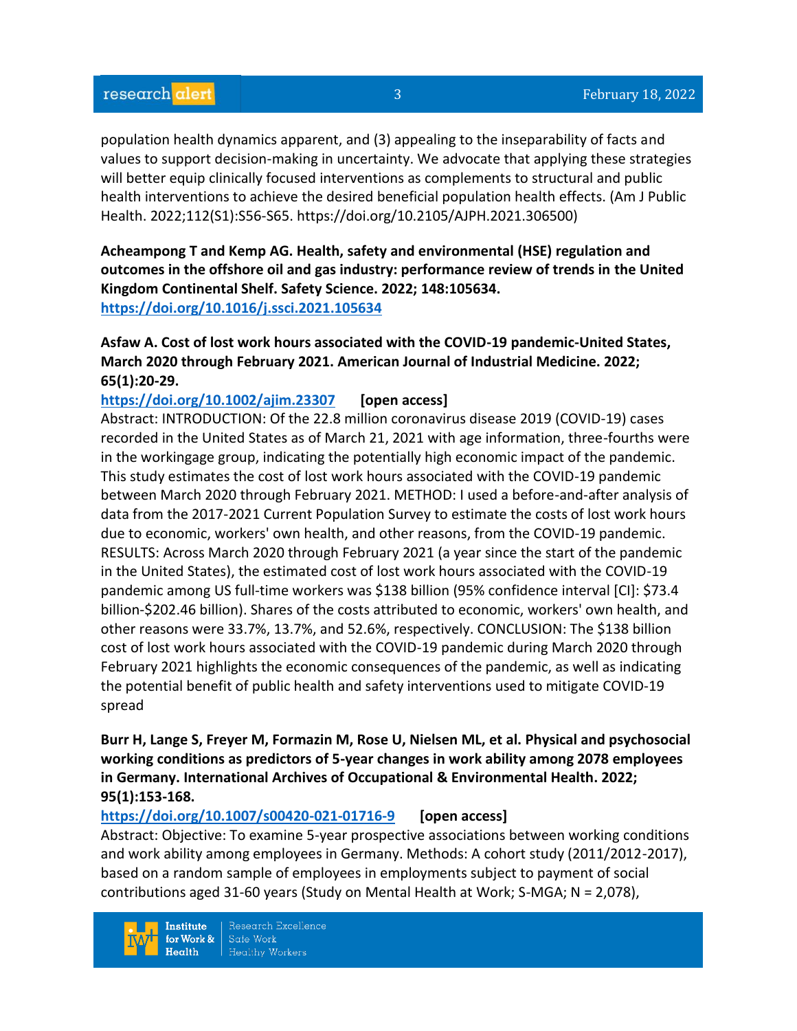population health dynamics apparent, and (3) appealing to the inseparability of facts and values to support decision-making in uncertainty. We advocate that applying these strategies will better equip clinically focused interventions as complements to structural and public health interventions to achieve the desired beneficial population health effects. (Am J Public Health. 2022;112(S1):S56-S65. https://doi.org/10.2105/AJPH.2021.306500)

**Acheampong T and Kemp AG. Health, safety and environmental (HSE) regulation and outcomes in the offshore oil and gas industry: performance review of trends in the United Kingdom Continental Shelf. Safety Science. 2022; 148:105634. <https://doi.org/10.1016/j.ssci.2021.105634>** 

# **Asfaw A. Cost of lost work hours associated with the COVID-19 pandemic-United States, March 2020 through February 2021. American Journal of Industrial Medicine. 2022; 65(1):20-29.**

# **<https://doi.org/10.1002/ajim.23307>[open access]**

Abstract: INTRODUCTION: Of the 22.8 million coronavirus disease 2019 (COVID-19) cases recorded in the United States as of March 21, 2021 with age information, three-fourths were in the workingage group, indicating the potentially high economic impact of the pandemic. This study estimates the cost of lost work hours associated with the COVID-19 pandemic between March 2020 through February 2021. METHOD: I used a before-and-after analysis of data from the 2017-2021 Current Population Survey to estimate the costs of lost work hours due to economic, workers' own health, and other reasons, from the COVID-19 pandemic. RESULTS: Across March 2020 through February 2021 (a year since the start of the pandemic in the United States), the estimated cost of lost work hours associated with the COVID-19 pandemic among US full-time workers was \$138 billion (95% confidence interval [CI]: \$73.4 billion-\$202.46 billion). Shares of the costs attributed to economic, workers' own health, and other reasons were 33.7%, 13.7%, and 52.6%, respectively. CONCLUSION: The \$138 billion cost of lost work hours associated with the COVID-19 pandemic during March 2020 through February 2021 highlights the economic consequences of the pandemic, as well as indicating the potential benefit of public health and safety interventions used to mitigate COVID-19 spread

**Burr H, Lange S, Freyer M, Formazin M, Rose U, Nielsen ML, et al. Physical and psychosocial working conditions as predictors of 5-year changes in work ability among 2078 employees in Germany. International Archives of Occupational & Environmental Health. 2022; 95(1):153-168.** 

# **<https://doi.org/10.1007/s00420-021-01716-9>[open access]**

Abstract: Objective: To examine 5-year prospective associations between working conditions and work ability among employees in Germany. Methods: A cohort study (2011/2012-2017), based on a random sample of employees in employments subject to payment of social contributions aged 31-60 years (Study on Mental Health at Work; S-MGA; N = 2,078),

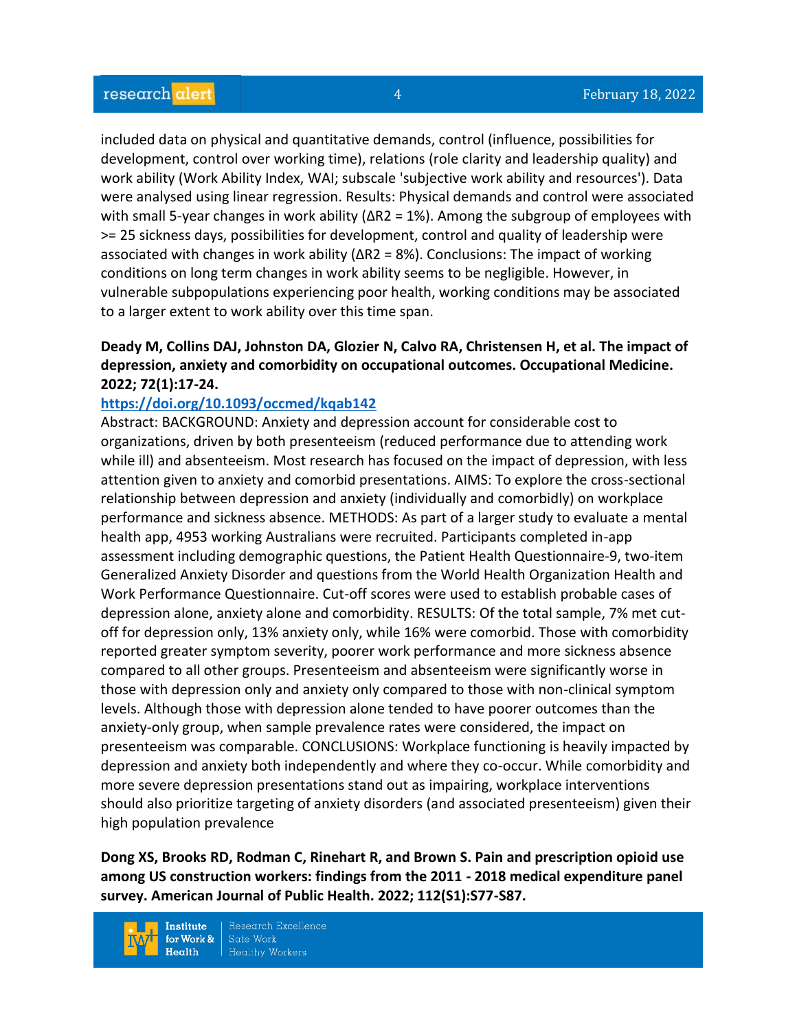included data on physical and quantitative demands, control (influence, possibilities for development, control over working time), relations (role clarity and leadership quality) and work ability (Work Ability Index, WAI; subscale 'subjective work ability and resources'). Data were analysed using linear regression. Results: Physical demands and control were associated with small 5-year changes in work ability ( $\Delta$ R2 = 1%). Among the subgroup of employees with >= 25 sickness days, possibilities for development, control and quality of leadership were associated with changes in work ability  $(\Delta R2 = 8\%)$ . Conclusions: The impact of working conditions on long term changes in work ability seems to be negligible. However, in vulnerable subpopulations experiencing poor health, working conditions may be associated to a larger extent to work ability over this time span.

# **Deady M, Collins DAJ, Johnston DA, Glozier N, Calvo RA, Christensen H, et al. The impact of depression, anxiety and comorbidity on occupational outcomes. Occupational Medicine. 2022; 72(1):17-24.**

#### **<https://doi.org/10.1093/occmed/kqab142>**

Abstract: BACKGROUND: Anxiety and depression account for considerable cost to organizations, driven by both presenteeism (reduced performance due to attending work while ill) and absenteeism. Most research has focused on the impact of depression, with less attention given to anxiety and comorbid presentations. AIMS: To explore the cross-sectional relationship between depression and anxiety (individually and comorbidly) on workplace performance and sickness absence. METHODS: As part of a larger study to evaluate a mental health app, 4953 working Australians were recruited. Participants completed in-app assessment including demographic questions, the Patient Health Questionnaire-9, two-item Generalized Anxiety Disorder and questions from the World Health Organization Health and Work Performance Questionnaire. Cut-off scores were used to establish probable cases of depression alone, anxiety alone and comorbidity. RESULTS: Of the total sample, 7% met cutoff for depression only, 13% anxiety only, while 16% were comorbid. Those with comorbidity reported greater symptom severity, poorer work performance and more sickness absence compared to all other groups. Presenteeism and absenteeism were significantly worse in those with depression only and anxiety only compared to those with non-clinical symptom levels. Although those with depression alone tended to have poorer outcomes than the anxiety-only group, when sample prevalence rates were considered, the impact on presenteeism was comparable. CONCLUSIONS: Workplace functioning is heavily impacted by depression and anxiety both independently and where they co-occur. While comorbidity and more severe depression presentations stand out as impairing, workplace interventions should also prioritize targeting of anxiety disorders (and associated presenteeism) given their high population prevalence

**Dong XS, Brooks RD, Rodman C, Rinehart R, and Brown S. Pain and prescription opioid use among US construction workers: findings from the 2011 - 2018 medical expenditure panel survey. American Journal of Public Health. 2022; 112(S1):S77-S87.** 

**Institute** for Work &  $Health$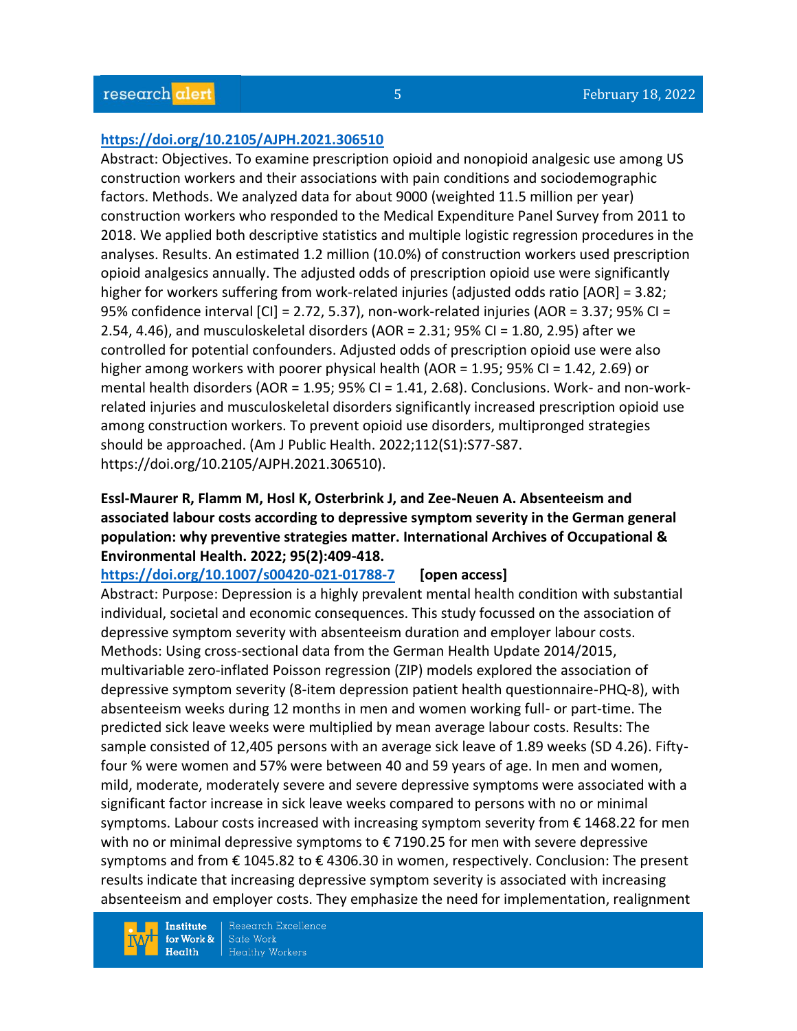#### **<https://doi.org/10.2105/AJPH.2021.306510>**

Abstract: Objectives. To examine prescription opioid and nonopioid analgesic use among US construction workers and their associations with pain conditions and sociodemographic factors. Methods. We analyzed data for about 9000 (weighted 11.5 million per year) construction workers who responded to the Medical Expenditure Panel Survey from 2011 to 2018. We applied both descriptive statistics and multiple logistic regression procedures in the analyses. Results. An estimated 1.2 million (10.0%) of construction workers used prescription opioid analgesics annually. The adjusted odds of prescription opioid use were significantly higher for workers suffering from work-related injuries (adjusted odds ratio [AOR] = 3.82; 95% confidence interval [CI] = 2.72, 5.37), non-work-related injuries (AOR = 3.37; 95% CI = 2.54, 4.46), and musculoskeletal disorders (AOR = 2.31; 95% CI = 1.80, 2.95) after we controlled for potential confounders. Adjusted odds of prescription opioid use were also higher among workers with poorer physical health (AOR =  $1.95$ ; 95% CI =  $1.42$ , 2.69) or mental health disorders (AOR = 1.95; 95% CI = 1.41, 2.68). Conclusions. Work- and non-workrelated injuries and musculoskeletal disorders significantly increased prescription opioid use among construction workers. To prevent opioid use disorders, multipronged strategies should be approached. (Am J Public Health. 2022;112(S1):S77-S87. https://doi.org/10.2105/AJPH.2021.306510).

# **Essl-Maurer R, Flamm M, Hosl K, Osterbrink J, and Zee-Neuen A. Absenteeism and associated labour costs according to depressive symptom severity in the German general population: why preventive strategies matter. International Archives of Occupational & Environmental Health. 2022; 95(2):409-418.**

#### **<https://doi.org/10.1007/s00420-021-01788-7>[open access]**

Abstract: Purpose: Depression is a highly prevalent mental health condition with substantial individual, societal and economic consequences. This study focussed on the association of depressive symptom severity with absenteeism duration and employer labour costs. Methods: Using cross-sectional data from the German Health Update 2014/2015, multivariable zero-inflated Poisson regression (ZIP) models explored the association of depressive symptom severity (8-item depression patient health questionnaire-PHQ-8), with absenteeism weeks during 12 months in men and women working full- or part-time. The predicted sick leave weeks were multiplied by mean average labour costs. Results: The sample consisted of 12,405 persons with an average sick leave of 1.89 weeks (SD 4.26). Fiftyfour % were women and 57% were between 40 and 59 years of age. In men and women, mild, moderate, moderately severe and severe depressive symptoms were associated with a significant factor increase in sick leave weeks compared to persons with no or minimal symptoms. Labour costs increased with increasing symptom severity from € 1468.22 for men with no or minimal depressive symptoms to € 7190.25 for men with severe depressive symptoms and from € 1045.82 to € 4306.30 in women, respectively. Conclusion: The present results indicate that increasing depressive symptom severity is associated with increasing absenteeism and employer costs. They emphasize the need for implementation, realignment

**Institute** for Work &  $Health$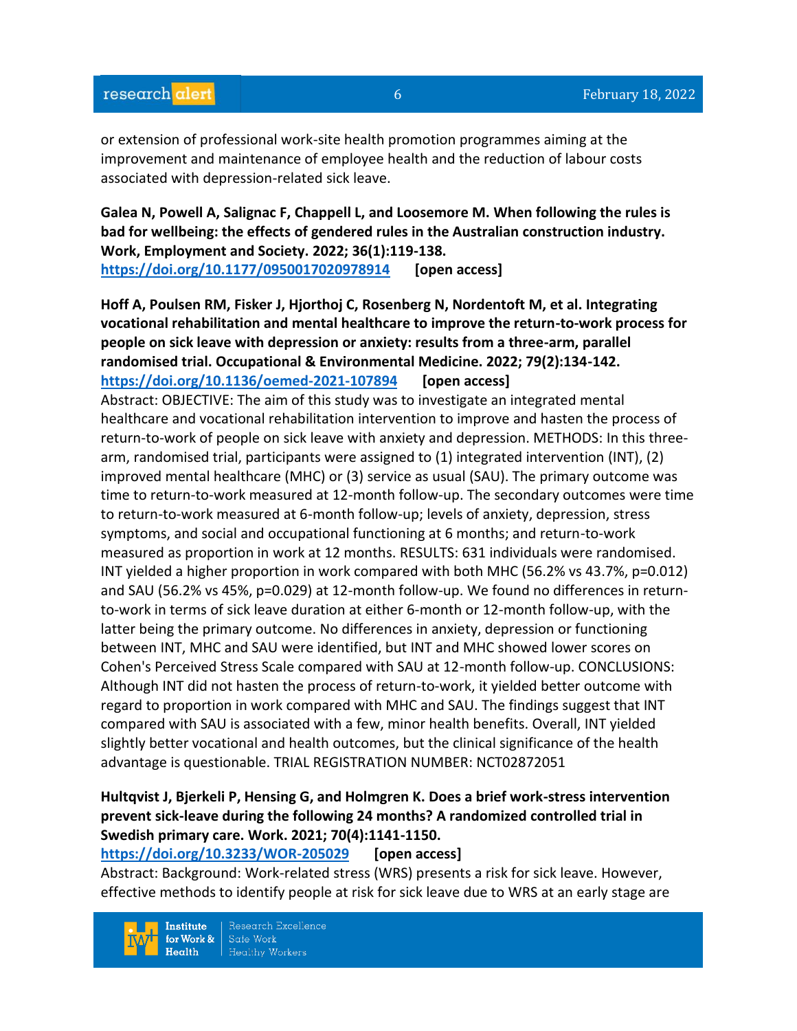or extension of professional work-site health promotion programmes aiming at the improvement and maintenance of employee health and the reduction of labour costs associated with depression-related sick leave.

**Galea N, Powell A, Salignac F, Chappell L, and Loosemore M. When following the rules is bad for wellbeing: the effects of gendered rules in the Australian construction industry. Work, Employment and Society. 2022; 36(1):119-138. <https://doi.org/10.1177/0950017020978914>[open access]**

**Hoff A, Poulsen RM, Fisker J, Hjorthoj C, Rosenberg N, Nordentoft M, et al. Integrating vocational rehabilitation and mental healthcare to improve the return-to-work process for people on sick leave with depression or anxiety: results from a three-arm, parallel randomised trial. Occupational & Environmental Medicine. 2022; 79(2):134-142. <https://doi.org/10.1136/oemed-2021-107894>[open access]**

Abstract: OBJECTIVE: The aim of this study was to investigate an integrated mental healthcare and vocational rehabilitation intervention to improve and hasten the process of return-to-work of people on sick leave with anxiety and depression. METHODS: In this threearm, randomised trial, participants were assigned to (1) integrated intervention (INT), (2) improved mental healthcare (MHC) or (3) service as usual (SAU). The primary outcome was time to return-to-work measured at 12-month follow-up. The secondary outcomes were time to return-to-work measured at 6-month follow-up; levels of anxiety, depression, stress symptoms, and social and occupational functioning at 6 months; and return-to-work measured as proportion in work at 12 months. RESULTS: 631 individuals were randomised. INT yielded a higher proportion in work compared with both MHC (56.2% vs 43.7%, p=0.012) and SAU (56.2% vs 45%, p=0.029) at 12-month follow-up. We found no differences in returnto-work in terms of sick leave duration at either 6-month or 12-month follow-up, with the latter being the primary outcome. No differences in anxiety, depression or functioning between INT, MHC and SAU were identified, but INT and MHC showed lower scores on Cohen's Perceived Stress Scale compared with SAU at 12-month follow-up. CONCLUSIONS: Although INT did not hasten the process of return-to-work, it yielded better outcome with regard to proportion in work compared with MHC and SAU. The findings suggest that INT compared with SAU is associated with a few, minor health benefits. Overall, INT yielded slightly better vocational and health outcomes, but the clinical significance of the health advantage is questionable. TRIAL REGISTRATION NUMBER: NCT02872051

# **Hultqvist J, Bjerkeli P, Hensing G, and Holmgren K. Does a brief work-stress intervention prevent sick-leave during the following 24 months? A randomized controlled trial in Swedish primary care. Work. 2021; 70(4):1141-1150.**

**<https://doi.org/10.3233/WOR-205029>[open access]**

Abstract: Background: Work-related stress (WRS) presents a risk for sick leave. However, effective methods to identify people at risk for sick leave due to WRS at an early stage are

**Institute** for Work &  $Heath$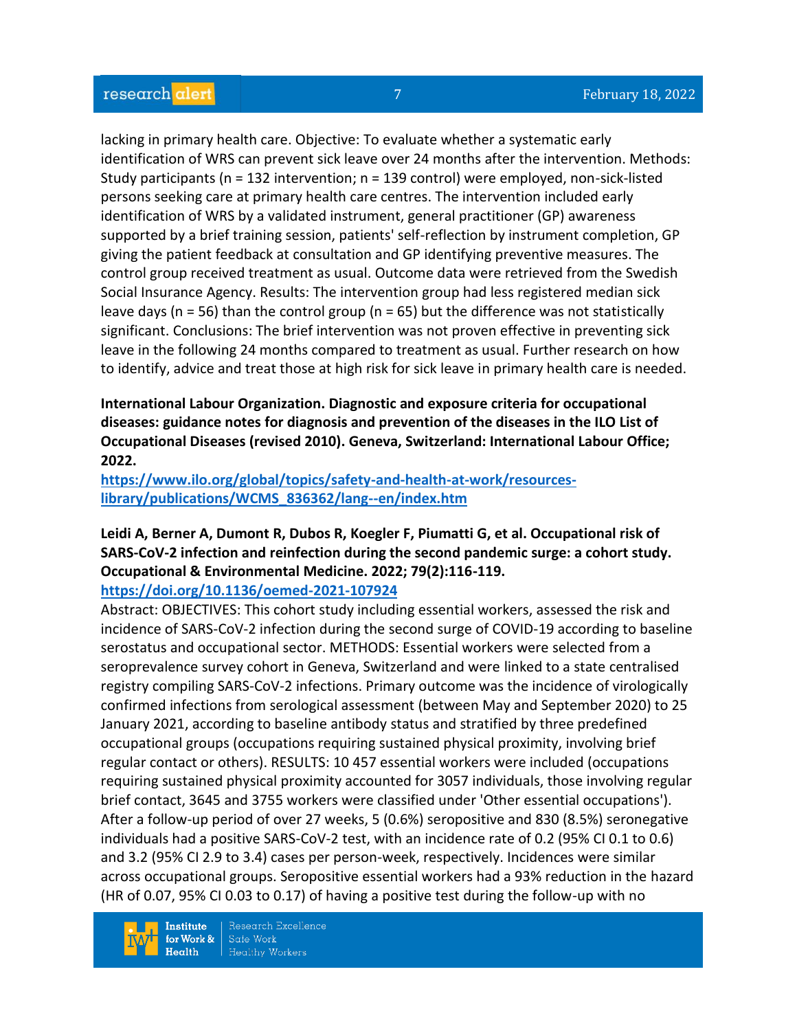lacking in primary health care. Objective: To evaluate whether a systematic early identification of WRS can prevent sick leave over 24 months after the intervention. Methods: Study participants (n = 132 intervention; n = 139 control) were employed, non-sick-listed persons seeking care at primary health care centres. The intervention included early identification of WRS by a validated instrument, general practitioner (GP) awareness supported by a brief training session, patients' self-reflection by instrument completion, GP giving the patient feedback at consultation and GP identifying preventive measures. The control group received treatment as usual. Outcome data were retrieved from the Swedish Social Insurance Agency. Results: The intervention group had less registered median sick leave days ( $n = 56$ ) than the control group ( $n = 65$ ) but the difference was not statistically significant. Conclusions: The brief intervention was not proven effective in preventing sick leave in the following 24 months compared to treatment as usual. Further research on how to identify, advice and treat those at high risk for sick leave in primary health care is needed.

**International Labour Organization. Diagnostic and exposure criteria for occupational diseases: guidance notes for diagnosis and prevention of the diseases in the ILO List of Occupational Diseases (revised 2010). Geneva, Switzerland: International Labour Office; 2022.**

**[https://www.ilo.org/global/topics/safety-and-health-at-work/resources](https://www.ilo.org/global/topics/safety-and-health-at-work/resources-library/publications/WCMS_836362/lang--en/index.htm)[library/publications/WCMS\\_836362/lang--en/index.htm](https://www.ilo.org/global/topics/safety-and-health-at-work/resources-library/publications/WCMS_836362/lang--en/index.htm)**

# **Leidi A, Berner A, Dumont R, Dubos R, Koegler F, Piumatti G, et al. Occupational risk of SARS-CoV-2 infection and reinfection during the second pandemic surge: a cohort study. Occupational & Environmental Medicine. 2022; 79(2):116-119.**

**<https://doi.org/10.1136/oemed-2021-107924>**

Abstract: OBJECTIVES: This cohort study including essential workers, assessed the risk and incidence of SARS-CoV-2 infection during the second surge of COVID-19 according to baseline serostatus and occupational sector. METHODS: Essential workers were selected from a seroprevalence survey cohort in Geneva, Switzerland and were linked to a state centralised registry compiling SARS-CoV-2 infections. Primary outcome was the incidence of virologically confirmed infections from serological assessment (between May and September 2020) to 25 January 2021, according to baseline antibody status and stratified by three predefined occupational groups (occupations requiring sustained physical proximity, involving brief regular contact or others). RESULTS: 10 457 essential workers were included (occupations requiring sustained physical proximity accounted for 3057 individuals, those involving regular brief contact, 3645 and 3755 workers were classified under 'Other essential occupations'). After a follow-up period of over 27 weeks, 5 (0.6%) seropositive and 830 (8.5%) seronegative individuals had a positive SARS-CoV-2 test, with an incidence rate of 0.2 (95% CI 0.1 to 0.6) and 3.2 (95% CI 2.9 to 3.4) cases per person-week, respectively. Incidences were similar across occupational groups. Seropositive essential workers had a 93% reduction in the hazard (HR of 0.07, 95% CI 0.03 to 0.17) of having a positive test during the follow-up with no

**Institute** for Work &  $Health$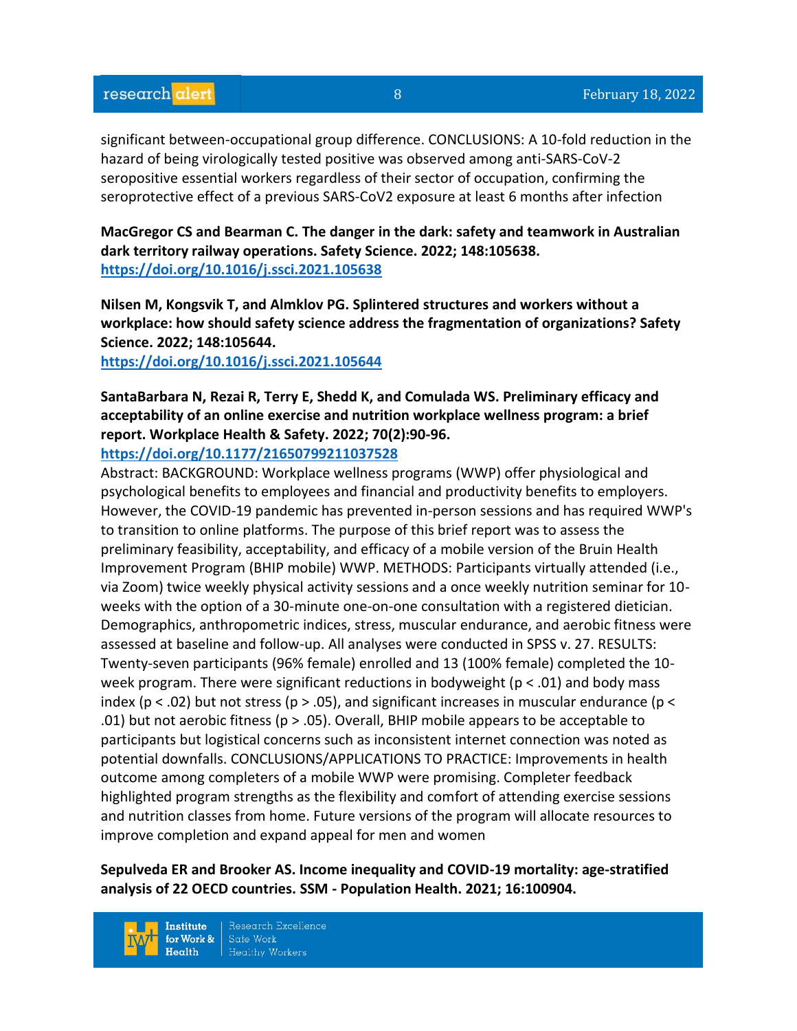significant between-occupational group difference. CONCLUSIONS: A 10-fold reduction in the hazard of being virologically tested positive was observed among anti-SARS-CoV-2 seropositive essential workers regardless of their sector of occupation, confirming the seroprotective effect of a previous SARS-CoV2 exposure at least 6 months after infection

**MacGregor CS and Bearman C. The danger in the dark: safety and teamwork in Australian dark territory railway operations. Safety Science. 2022; 148:105638. <https://doi.org/10.1016/j.ssci.2021.105638>** 

**Nilsen M, Kongsvik T, and Almklov PG. Splintered structures and workers without a workplace: how should safety science address the fragmentation of organizations? Safety Science. 2022; 148:105644.**

**<https://doi.org/10.1016/j.ssci.2021.105644>** 

**SantaBarbara N, Rezai R, Terry E, Shedd K, and Comulada WS. Preliminary efficacy and acceptability of an online exercise and nutrition workplace wellness program: a brief report. Workplace Health & Safety. 2022; 70(2):90-96.** 

**<https://doi.org/10.1177/21650799211037528>** 

Abstract: BACKGROUND: Workplace wellness programs (WWP) offer physiological and psychological benefits to employees and financial and productivity benefits to employers. However, the COVID-19 pandemic has prevented in-person sessions and has required WWP's to transition to online platforms. The purpose of this brief report was to assess the preliminary feasibility, acceptability, and efficacy of a mobile version of the Bruin Health Improvement Program (BHIP mobile) WWP. METHODS: Participants virtually attended (i.e., via Zoom) twice weekly physical activity sessions and a once weekly nutrition seminar for 10 weeks with the option of a 30-minute one-on-one consultation with a registered dietician. Demographics, anthropometric indices, stress, muscular endurance, and aerobic fitness were assessed at baseline and follow-up. All analyses were conducted in SPSS v. 27. RESULTS: Twenty-seven participants (96% female) enrolled and 13 (100% female) completed the 10 week program. There were significant reductions in bodyweight ( $p < .01$ ) and body mass index ( $p < .02$ ) but not stress ( $p > .05$ ), and significant increases in muscular endurance ( $p <$ .01) but not aerobic fitness ( $p > .05$ ). Overall, BHIP mobile appears to be acceptable to participants but logistical concerns such as inconsistent internet connection was noted as potential downfalls. CONCLUSIONS/APPLICATIONS TO PRACTICE: Improvements in health outcome among completers of a mobile WWP were promising. Completer feedback highlighted program strengths as the flexibility and comfort of attending exercise sessions and nutrition classes from home. Future versions of the program will allocate resources to improve completion and expand appeal for men and women

**Sepulveda ER and Brooker AS. Income inequality and COVID-19 mortality: age-stratified analysis of 22 OECD countries. SSM - Population Health. 2021; 16:100904.**